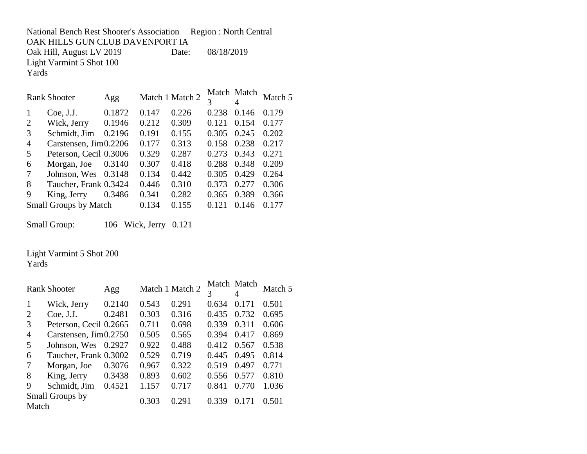National Bench Rest Shooter's Association Region : North Central OAK HILLS GUN CLUB DAVENPORT IA Oak Hill, August LV 2019 Date: 08/18/2019 Light Varmint 5 Shot 100 Yards

|                | <b>Rank Shooter</b>          | Agg    |       | Match 1 Match 2 | 3     | Match Match<br>4 | Match 5 |
|----------------|------------------------------|--------|-------|-----------------|-------|------------------|---------|
|                | Coe, J.J.                    | 0.1872 | 0.147 | 0.226           | 0.238 | 0.146            | 0.179   |
| 2              | Wick, Jerry                  | 0.1946 | 0.212 | 0.309           | 0.121 | 0.154            | 0.177   |
| 3              | Schmidt, Jim                 | 0.2196 | 0.191 | 0.155           | 0.305 | 0.245            | 0.202   |
| $\overline{A}$ | Carstensen, Jim0.2206        |        | 0.177 | 0.313           | 0.158 | 0.238            | 0.217   |
| 5              | Peterson, Cecil 0.3006       |        | 0.329 | 0.287           | 0.273 | 0.343            | 0.271   |
| 6              | Morgan, Joe                  | 0.3140 | 0.307 | 0.418           | 0.288 | 0.348            | 0.209   |
| 7              | Johnson, Wes 0.3148          |        | 0.134 | 0.442           | 0.305 | 0.429            | 0.264   |
| 8              | Taucher, Frank 0.3424        |        | 0.446 | 0.310           | 0.373 | 0.277            | 0.306   |
| 9              | King, Jerry                  | 0.3486 | 0.341 | 0.282           | 0.365 | 0.389            | 0.366   |
|                | <b>Small Groups by Match</b> |        | 0.134 | 0.155           | 0.121 | 0.146            | 0.177   |

Small Group: 106 Wick, Jerry 0.121

Light Varmint 5 Shot 200

Yards

|                          | <b>Rank Shooter</b>    | Agg    |       | Match 1 Match 2 | 3     | Match Match<br>4    | Match 5 |
|--------------------------|------------------------|--------|-------|-----------------|-------|---------------------|---------|
| 1                        | Wick, Jerry            | 0.2140 | 0.543 | 0.291           | 0.634 | 0.171               | 0.501   |
| 2                        | Coe, J.J.              | 0.2481 | 0.303 | 0.316           | 0.435 | 0.732               | 0.695   |
| 3                        | Peterson, Cecil 0.2665 |        | 0.711 | 0.698           | 0.339 | 0.311               | 0.606   |
| $\overline{4}$           | Carstensen, Jim0.2750  |        | 0.505 | 0.565           | 0.394 | 0.417               | 0.869   |
| 5                        | Johnson, Wes 0.2927    |        | 0.922 | 0.488           | 0.412 | 0.567               | 0.538   |
| 6                        | Taucher, Frank 0.3002  |        | 0.529 | 0.719           | 0.445 | 0.495               | 0.814   |
| 7                        | Morgan, Joe            | 0.3076 | 0.967 | 0.322           | 0.519 | 0.497               | 0.771   |
| 8                        | King, Jerry            | 0.3438 | 0.893 | 0.602           | 0.556 | 0.577               | 0.810   |
| 9                        | Schmidt, Jim           | 0.4521 | 1.157 | 0.717           | 0.841 | 0.770               | 1.036   |
| Small Groups by<br>Match |                        |        | 0.303 | 0.291           | 0.339 | 171<br>$\mathbf{O}$ | 0.501   |